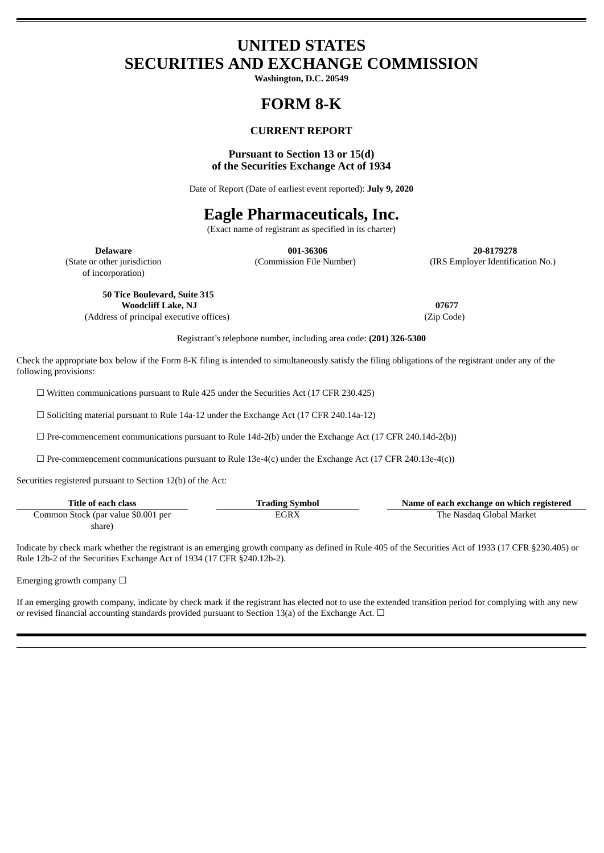## **UNITED STATES SECURITIES AND EXCHANGE COMMISSION**

**Washington, D.C. 20549**

# **FORM 8-K**

## **CURRENT REPORT**

### **Pursuant to Section 13 or 15(d) of the Securities Exchange Act of 1934**

Date of Report (Date of earliest event reported): **July 9, 2020**

## **Eagle Pharmaceuticals, Inc.**

(Exact name of registrant as specified in its charter)

**Delaware 001-36306 20-8179278** (State or other jurisdiction (Commission File Number) (IRS Employer Identification No.)

of incorporation)

**50 Tice Boulevard, Suite 315 Woodcliff Lake, NJ 07677** (Address of principal executive offices) (Zip Code)

Registrant's telephone number, including area code: **(201) 326-5300**

Check the appropriate box below if the Form 8-K filing is intended to simultaneously satisfy the filing obligations of the registrant under any of the following provisions:

☐ Written communications pursuant to Rule 425 under the Securities Act (17 CFR 230.425)

☐ Soliciting material pursuant to Rule 14a-12 under the Exchange Act (17 CFR 240.14a-12)

 $\Box$  Pre-commencement communications pursuant to Rule 14d-2(b) under the Exchange Act (17 CFR 240.14d-2(b))

 $\Box$  Pre-commencement communications pursuant to Rule 13e-4(c) under the Exchange Act (17 CFR 240.13e-4(c))

Securities registered pursuant to Section 12(b) of the Act:

| Title of each class                 | <b>Trading Symbol</b> | Name of each exchange on which registered |
|-------------------------------------|-----------------------|-------------------------------------------|
| Common Stock (par value \$0.001 per | EGRX                  | The Nasdaq Global Market                  |
| share)                              |                       |                                           |

Indicate by check mark whether the registrant is an emerging growth company as defined in Rule 405 of the Securities Act of 1933 (17 CFR §230.405) or Rule 12b-2 of the Securities Exchange Act of 1934 (17 CFR §240.12b-2).

Emerging growth company  $\Box$ 

If an emerging growth company, indicate by check mark if the registrant has elected not to use the extended transition period for complying with any new or revised financial accounting standards provided pursuant to Section 13(a) of the Exchange Act.  $\Box$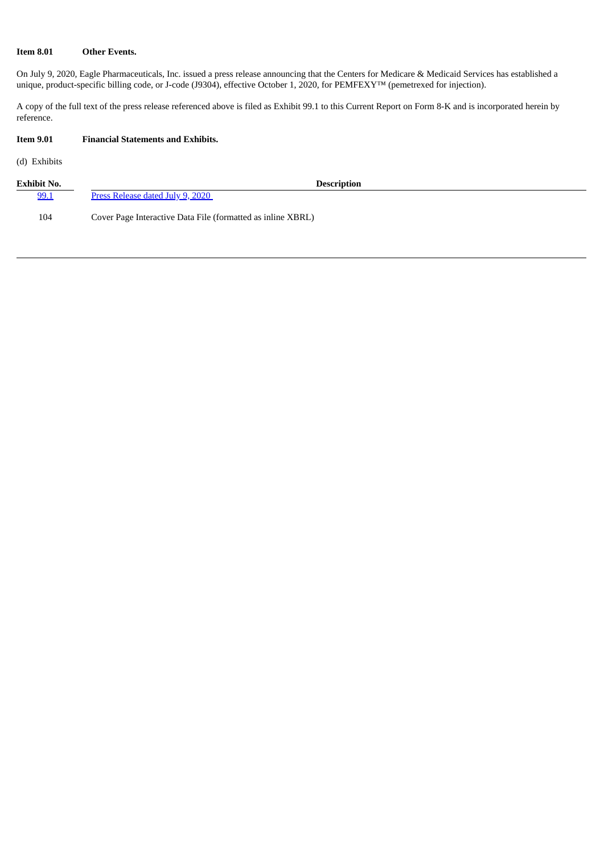### **Item 8.01 Other Events.**

On July 9, 2020, Eagle Pharmaceuticals, Inc. issued a press release announcing that the Centers for Medicare & Medicaid Services has established a unique, product-specific billing code, or J-code (J9304), effective October 1, 2020, for PEMFEXY™ (pemetrexed for injection).

A copy of the full text of the press release referenced above is filed as Exhibit 99.1 to this Current Report on Form 8-K and is incorporated herein by reference.

## **Item 9.01 Financial Statements and Exhibits.**

(d) Exhibits

| <b>Exhibit No.</b> | <b>Description</b>                                          |
|--------------------|-------------------------------------------------------------|
| 99.1               | Press Release dated July 9, 2020                            |
| 104                | Cover Page Interactive Data File (formatted as inline XBRL) |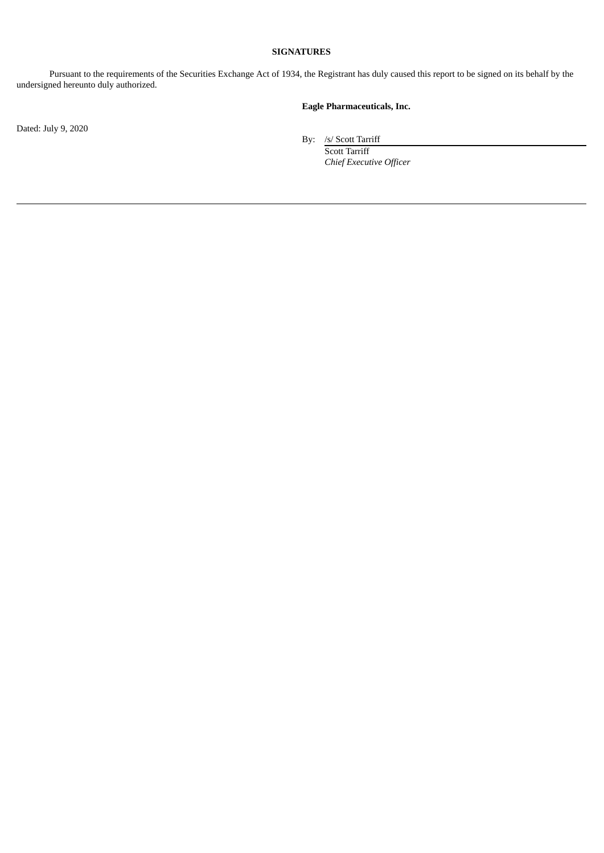### **SIGNATURES**

Pursuant to the requirements of the Securities Exchange Act of 1934, the Registrant has duly caused this report to be signed on its behalf by the undersigned hereunto duly authorized.

## **Eagle Pharmaceuticals, Inc.**

Dated: July 9, 2020

By: /s/ Scott Tarriff

Scott Tarriff *Chief Executive Officer*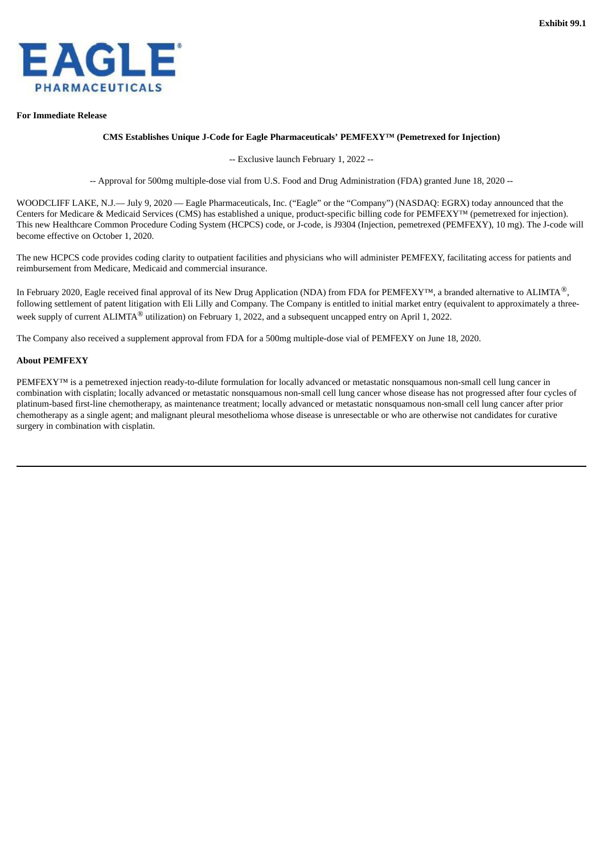<span id="page-3-0"></span>

#### **For Immediate Release**

#### **CMS Establishes Unique J-Code for Eagle Pharmaceuticals' PEMFEXY™ (Pemetrexed for Injection)**

-- Exclusive launch February 1, 2022 --

-- Approval for 500mg multiple-dose vial from U.S. Food and Drug Administration (FDA) granted June 18, 2020 --

WOODCLIFF LAKE, N.J.— July 9, 2020 — Eagle Pharmaceuticals, Inc. ("Eagle" or the "Company") (NASDAQ: EGRX) today announced that the Centers for Medicare & Medicaid Services (CMS) has established a unique, product-specific billing code for PEMFEXY™ (pemetrexed for injection). This new Healthcare Common Procedure Coding System (HCPCS) code, or J-code, is J9304 (Injection, pemetrexed (PEMFEXY), 10 mg). The J-code will become effective on October 1, 2020.

The new HCPCS code provides coding clarity to outpatient facilities and physicians who will administer PEMFEXY, facilitating access for patients and reimbursement from Medicare, Medicaid and commercial insurance.

In February 2020, Eagle received final approval of its New Drug Application (NDA) from FDA for PEMFEXY™, a branded alternative to ALIMTA®, following settlement of patent litigation with Eli Lilly and Company. The Company is entitled to initial market entry (equivalent to approximately a threeweek supply of current ALIMTA $^{\circledR}$  utilization) on February 1, 2022, and a subsequent uncapped entry on April 1, 2022.

The Company also received a supplement approval from FDA for a 500mg multiple-dose vial of PEMFEXY on June 18, 2020.

#### **About PEMFEXY**

PEMFEXY<sup>™</sup> is a pemetrexed injection ready-to-dilute formulation for locally advanced or metastatic nonsquamous non-small cell lung cancer in combination with cisplatin; locally advanced or metastatic nonsquamous non-small cell lung cancer whose disease has not progressed after four cycles of platinum-based first-line chemotherapy, as maintenance treatment; locally advanced or metastatic nonsquamous non-small cell lung cancer after prior chemotherapy as a single agent; and malignant pleural mesothelioma whose disease is unresectable or who are otherwise not candidates for curative surgery in combination with cisplatin.